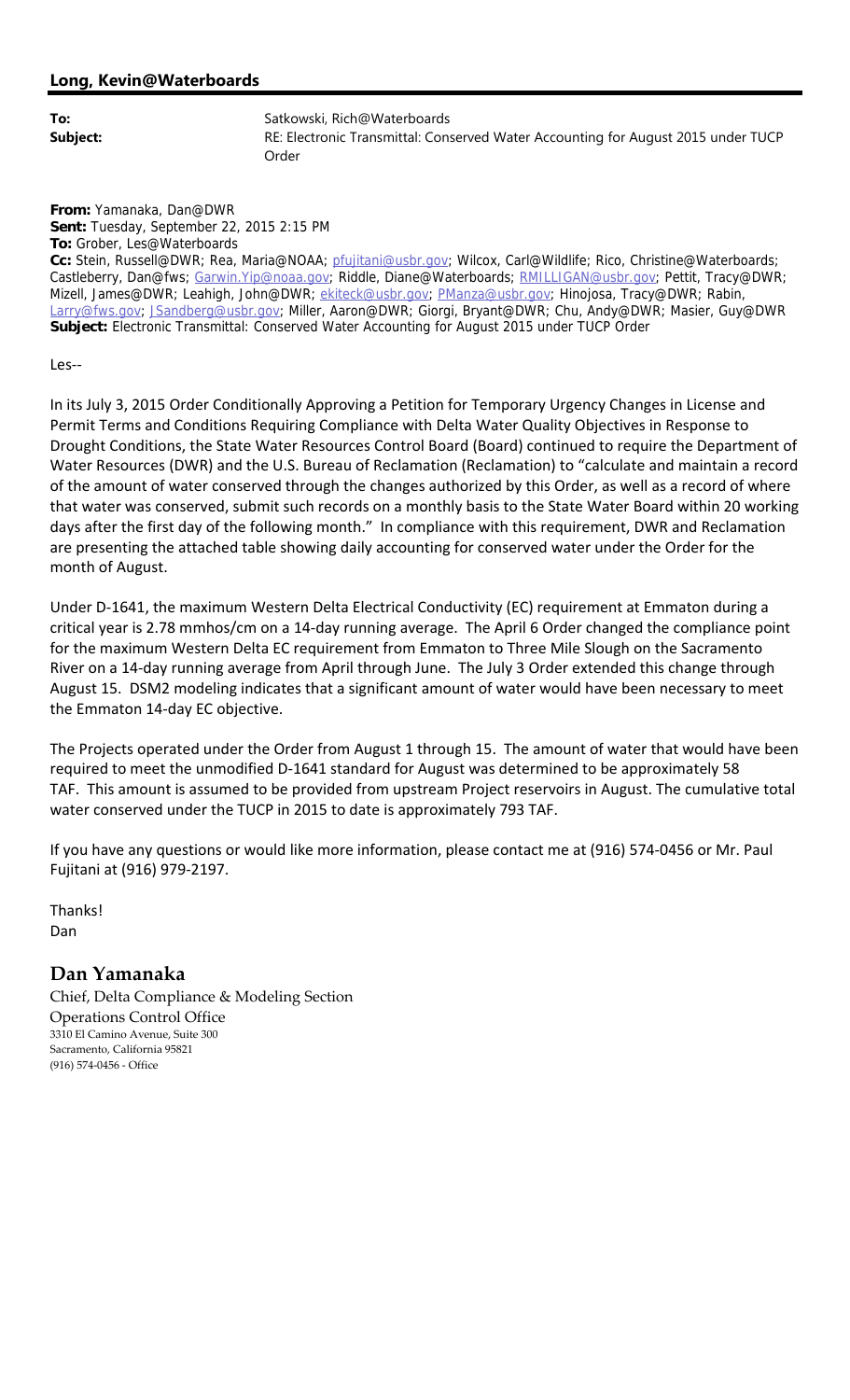**From:** Yamanaka, Dan@DWR **Sent:** Tuesday, September 22, 2015 2:15 PM **To:** Grober, Les@Waterboards **Cc:** Stein, Russell@DWR; Rea, Maria@NOAA; pfujitani@usbr.gov; Wilcox, Carl@Wildlife; Rico, Christine@Waterboards; Castleberry, Dan@fws; Garwin.Yip@noaa.gov; Riddle, Diane@Waterboards; RMILLIGAN@usbr.gov; Pettit, Tracy@DWR; Mizell, James@DWR; Leahigh, John@DWR; ekiteck@usbr.gov; PManza@usbr.gov; Hinojosa, Tracy@DWR; Rabin, Larry@fws.gov; JSandberg@usbr.gov; Miller, Aaron@DWR; Giorgi, Bryant@DWR; Chu, Andy@DWR; Masier, Guy@DWR **Subject:** Electronic Transmittal: Conserved Water Accounting for August 2015 under TUCP Order

Les‐‐

In its July 3, 2015 Order Conditionally Approving a Petition for Temporary Urgency Changes in License and Permit Terms and Conditions Requiring Compliance with Delta Water Quality Objectives in Response to Drought Conditions, the State Water Resources Control Board (Board) continued to require the Department of Water Resources (DWR) and the U.S. Bureau of Reclamation (Reclamation) to "calculate and maintain a record of the amount of water conserved through the changes authorized by this Order, as well as a record of where that water was conserved, submit such records on a monthly basis to the State Water Board within 20 working days after the first day of the following month." In compliance with this requirement, DWR and Reclamation are presenting the attached table showing daily accounting for conserved water under the Order for the month of August.

Under D-1641, the maximum Western Delta Electrical Conductivity (EC) requirement at Emmaton during a critical year is 2.78 mmhos/cm on a 14‐day running average. The April 6 Order changed the compliance point for the maximum Western Delta EC requirement from Emmaton to Three Mile Slough on the Sacramento River on a 14‐day running average from April through June. The July 3 Order extended this change through August 15. DSM2 modeling indicates that a significant amount of water would have been necessary to meet the Emmaton 14‐day EC objective.

The Projects operated under the Order from August 1 through 15. The amount of water that would have been required to meet the unmodified D‐1641 standard for August was determined to be approximately 58 TAF. This amount is assumed to be provided from upstream Project reservoirs in August. The cumulative total water conserved under the TUCP in 2015 to date is approximately 793 TAF.

If you have any questions or would like more information, please contact me at (916) 574‐0456 or Mr. Paul Fujitani at (916) 979‐2197.

Thanks! Dan

## **Dan Yamanaka**

Chief, Delta Compliance & Modeling Section Operations Control Office 3310 El Camino Avenue, Suite 300 Sacramento, California 95821 (916) 574‐0456 ‐ Office